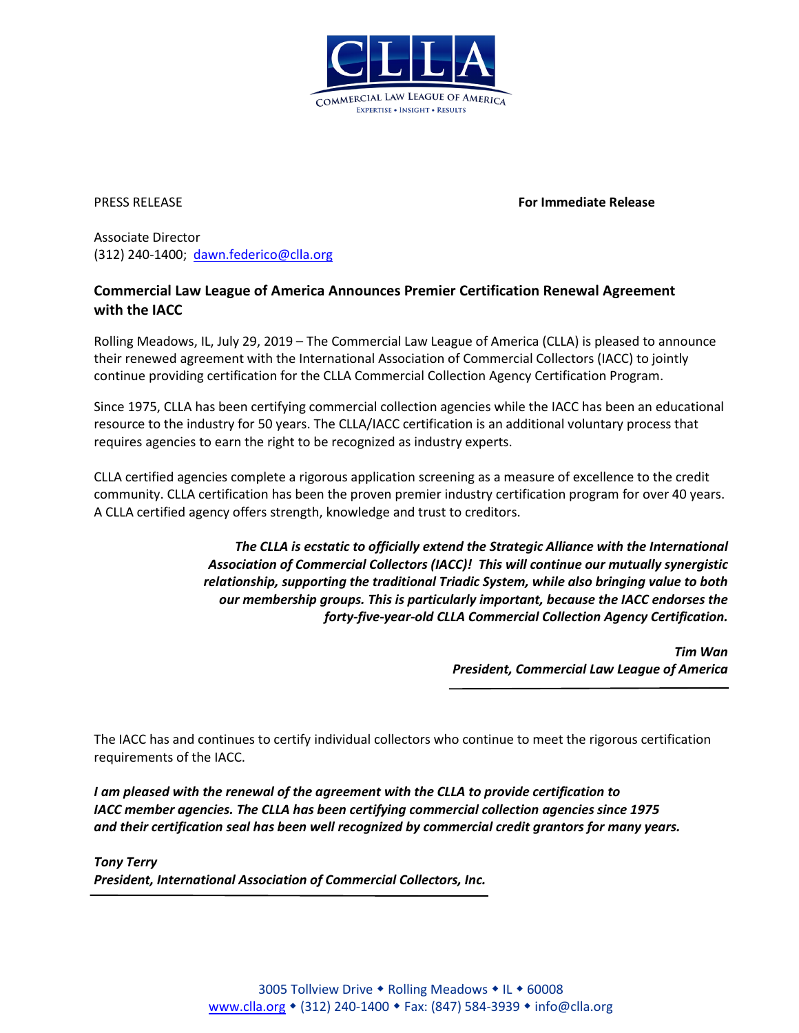

PRESS RELEASE **For Immediate Release**

Associate Director (312) 240-1400; [dawn.federico@clla.org](mailto:dawn.federico@clla.org)

## **Commercial Law League of America Announces Premier Certification Renewal Agreement with the IACC**

Rolling Meadows, IL, July 29, 2019 – The Commercial Law League of America (CLLA) is pleased to announce their renewed agreement with the International Association of Commercial Collectors (IACC) to jointly continue providing certification for the CLLA Commercial Collection Agency Certification Program.

Since 1975, CLLA has been certifying commercial collection agencies while the IACC has been an educational resource to the industry for 50 years. The CLLA/IACC certification is an additional voluntary process that requires agencies to earn the right to be recognized as industry experts.

CLLA certified agencies complete a rigorous application screening as a measure of excellence to the credit community. CLLA certification has been the proven premier industry certification program for over 40 years. A CLLA certified agency offers strength, knowledge and trust to creditors.

> *The CLLA is ecstatic to officially extend the Strategic Alliance with the International Association of Commercial Collectors (IACC)! This will continue our mutually synergistic relationship, supporting the traditional Triadic System, while also bringing value to both our membership groups. This is particularly important, because the IACC endorses the forty-five-year-old CLLA Commercial Collection Agency Certification.*

> > *Tim Wan President, Commercial Law League of America*

The IACC has and continues to certify individual collectors who continue to meet the rigorous certification requirements of the IACC.

*I am pleased with the renewal of the agreement with the CLLA to provide certification to IACC member agencies. The CLLA has been certifying commercial collection agencies since 1975 and their certification seal has been well recognized by commercial credit grantors for many years.*

*Tony Terry President, International Association of Commercial Collectors, Inc.*